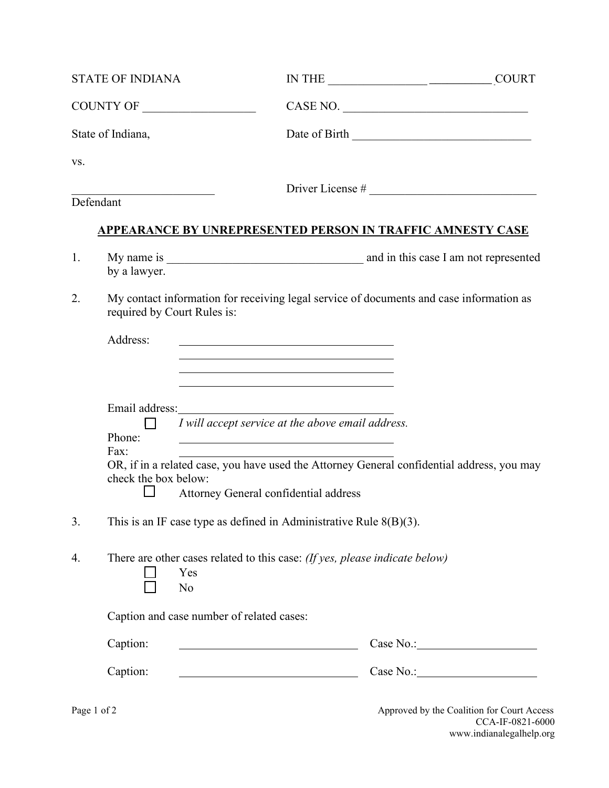| <b>STATE OF INDIANA</b><br>COUNTY OF<br>State of Indiana, |                                                                                                                        | IN THE $\_\_\_\_\_\_\_\_\_\_\_\_\_\_\_\_\_\_\_$                                                                                                                           |          |  |
|-----------------------------------------------------------|------------------------------------------------------------------------------------------------------------------------|---------------------------------------------------------------------------------------------------------------------------------------------------------------------------|----------|--|
|                                                           |                                                                                                                        |                                                                                                                                                                           | CASE NO. |  |
|                                                           |                                                                                                                        |                                                                                                                                                                           |          |  |
| VS.                                                       |                                                                                                                        |                                                                                                                                                                           |          |  |
|                                                           |                                                                                                                        |                                                                                                                                                                           |          |  |
|                                                           | Defendant                                                                                                              |                                                                                                                                                                           |          |  |
|                                                           |                                                                                                                        | <b>APPEARANCE BY UNREPRESENTED PERSON IN TRAFFIC AMNESTY CASE</b>                                                                                                         |          |  |
| 1.                                                        | by a lawyer.                                                                                                           |                                                                                                                                                                           |          |  |
| 2.                                                        | My contact information for receiving legal service of documents and case information as<br>required by Court Rules is: |                                                                                                                                                                           |          |  |
|                                                           | Address:                                                                                                               | <u> 1989 - Johann Barn, mars ann an t-Amhain Aonaich an t-Aonaich an t-Aonaich an t-Aonaich an t-Aonaich ann an t-</u>                                                    |          |  |
|                                                           |                                                                                                                        | <u> 1989 - Johann Barn, mars et al. (b. 1989)</u>                                                                                                                         |          |  |
|                                                           |                                                                                                                        |                                                                                                                                                                           |          |  |
|                                                           | Phone:                                                                                                                 | I will accept service at the above email address.<br><u> 1989 - Johann Barn, mars ann an t-Amhain Aonaich ann an t-Aonaich an t-Aonaich ann an t-Aonaich ann an t-Aon</u> |          |  |
|                                                           | Fax:                                                                                                                   | OR, if in a related case, you have used the Attorney General confidential address, you may                                                                                |          |  |
|                                                           | check the box below:                                                                                                   |                                                                                                                                                                           |          |  |
|                                                           |                                                                                                                        | Attorney General confidential address                                                                                                                                     |          |  |
| 3.                                                        |                                                                                                                        | This is an IF case type as defined in Administrative Rule $8(B)(3)$ .                                                                                                     |          |  |
| 4.                                                        | Yes                                                                                                                    | There are other cases related to this case: (If yes, please indicate below)                                                                                               |          |  |
|                                                           | No                                                                                                                     |                                                                                                                                                                           |          |  |
|                                                           |                                                                                                                        | Caption and case number of related cases:                                                                                                                                 |          |  |
|                                                           | Caption:                                                                                                               |                                                                                                                                                                           |          |  |
|                                                           | Caption:                                                                                                               |                                                                                                                                                                           |          |  |
|                                                           |                                                                                                                        |                                                                                                                                                                           |          |  |
|                                                           | Page 1 of 2                                                                                                            | Approved by the Coalition for Court Access                                                                                                                                |          |  |

CCA-IF-0821-6000 www.indianalegalhelp.org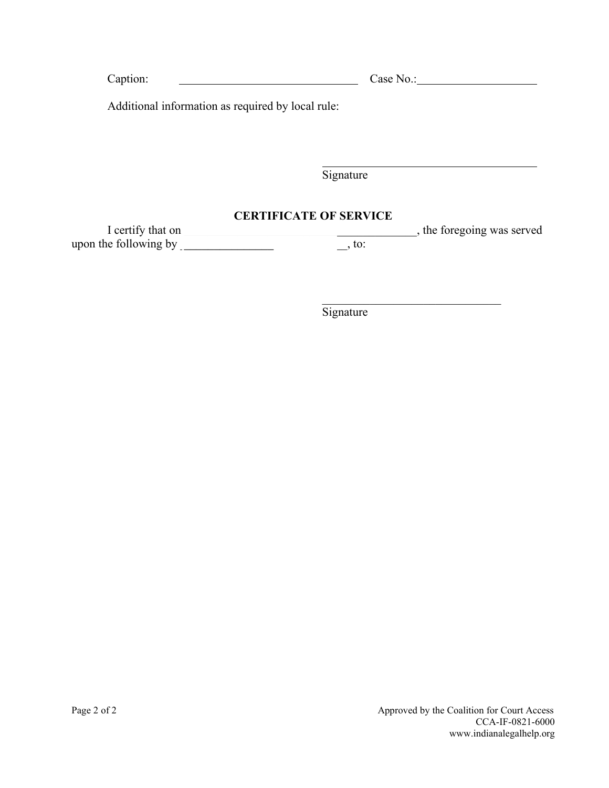| Caption:<br>$\overline{\phantom{a}}$ | $\Gamma$ ase |  |
|--------------------------------------|--------------|--|
|                                      |              |  |

Additional information as required by local rule:

Signature

### **CERTIFICATE OF SERVICE**

 $\mathcal{L}_\text{max}$  and  $\mathcal{L}_\text{max}$  and  $\mathcal{L}_\text{max}$  and  $\mathcal{L}_\text{max}$  and  $\mathcal{L}_\text{max}$  and  $\mathcal{L}_\text{max}$ 

I certify that on<br>
Internal certify that on  $\frac{1}{\sqrt{1-\frac{1}{\sqrt{1-\frac{1}{\sqrt{1-\frac{1}{\sqrt{1-\frac{1}{\sqrt{1-\frac{1}{\sqrt{1-\frac{1}{\sqrt{1-\frac{1}{\sqrt{1-\frac{1}{\sqrt{1-\frac{1}{\sqrt{1-\frac{1}{\sqrt{1-\frac{1}{\sqrt{1-\frac{1}{\sqrt{1-\frac{1}{\sqrt{1-\frac{1}{\sqrt{1-\frac{1}{\sqrt{1-\frac{1}{\sqrt{1-\frac{1}{\sqrt{1-\frac{1}{\sqrt{1-\frac{1}{\$ upon the following by  $\frac{1}{2}$   $\frac{1}{2}$   $\frac{1}{2}$   $\frac{1}{2}$  to:

**Signature**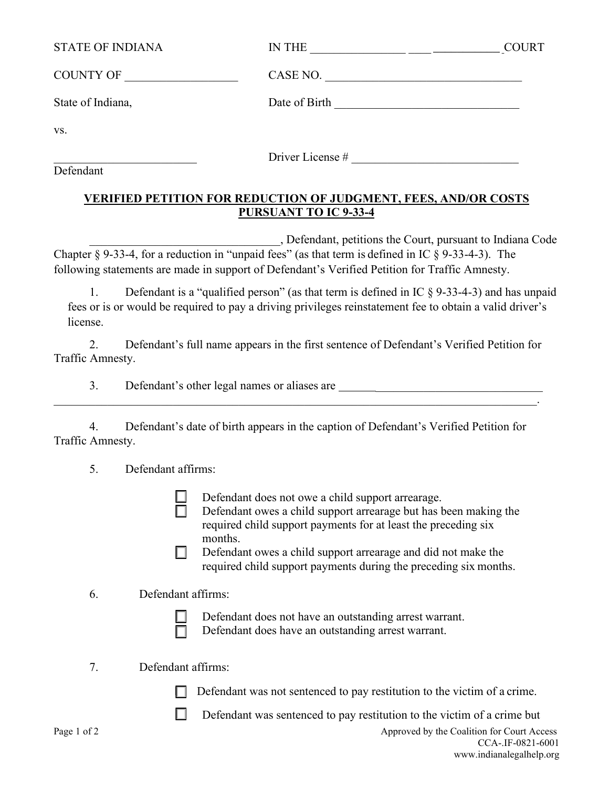| <b>STATE OF INDIANA</b> | <b>IN THE</b><br>$\begin{array}{cccccccccccccc} \multicolumn{4}{c }{\textbf{\textit{m}}}&\multicolumn{4}{c }{\textbf{\textit{m}}}&\multicolumn{4}{c }{\textbf{\textit{m}}}&\multicolumn{4}{c }{\textbf{\textit{m}}}&\multicolumn{4}{c }{\textbf{\textit{m}}}&\multicolumn{4}{c }{\textbf{\textit{m}}}&\multicolumn{4}{c }{\textbf{\textit{m}}}&\multicolumn{4}{c }{\textbf{\textit{m}}}&\multicolumn{4}{c }{\textbf{\textit{m}}}&\multicolumn{4}{c }{\textbf{\textit{m}}}&\multicolumn{4}{c }{$ | <b>COURT</b>                                                                              |
|-------------------------|-------------------------------------------------------------------------------------------------------------------------------------------------------------------------------------------------------------------------------------------------------------------------------------------------------------------------------------------------------------------------------------------------------------------------------------------------------------------------------------------------|-------------------------------------------------------------------------------------------|
| <b>COUNTY OF</b>        | CASE NO.                                                                                                                                                                                                                                                                                                                                                                                                                                                                                        | the control of the control of the control of the control of the control of the control of |
| State of Indiana,       | Date of Birth                                                                                                                                                                                                                                                                                                                                                                                                                                                                                   |                                                                                           |
| VS.                     |                                                                                                                                                                                                                                                                                                                                                                                                                                                                                                 |                                                                                           |
| Defendant               | Driver License #                                                                                                                                                                                                                                                                                                                                                                                                                                                                                |                                                                                           |

### **VERIFIED PETITION FOR REDUCTION OF JUDGMENT, FEES, AND/OR COSTS PURSUANT TO IC 9-33-4**

 \_\_\_\_\_\_\_\_\_\_\_\_\_\_\_\_\_\_\_\_\_\_\_\_\_\_\_\_\_\_\_\_, Defendant, petitions the Court, pursuant to Indiana Code Chapter  $\S$  9-33-4, for a reduction in "unpaid fees" (as that term is defined in IC  $\S$  9-33-4-3). The following statements are made in support of Defendant's Verified Petition for Traffic Amnesty.

1. Defendant is a "qualified person" (as that term is defined in IC § 9-33-4-3) and has unpaid fees or is or would be required to pay a driving privileges reinstatement fee to obtain a valid driver's license.

2. Defendant's full name appears in the first sentence of Defendant's Verified Petition for Traffic Amnesty.

 $\mathcal{L}_\mathcal{L}$  , and the contribution of the contribution of the contribution of the contribution of  $\mathcal{L}_\mathcal{L}$ 

3. Defendant's other legal names or aliases are <u>equal</u>

4. Defendant's date of birth appears in the caption of Defendant's Verified Petition for Traffic Amnesty.

- 5. Defendant affirms:
	-

Defendant does not owe a child support arrearage.

 $\Box$  Defendant owes a child support arrearage but has been making the required child support payments for at least the preceding six months.

 $\Box$  Defendant owes a child support arrearage and did not make the required child support payments during the preceding six months.

# 6. Defendant affirms:

 Defendant does not have an outstanding arrest warrant. Defendant does have an outstanding arrest warrant.

- 7. Defendant affirms:
	- Defendant was not sentenced to pay restitution to the victim of a crime.
	- $\Box$  Defendant was sentenced to pay restitution to the victim of a crime but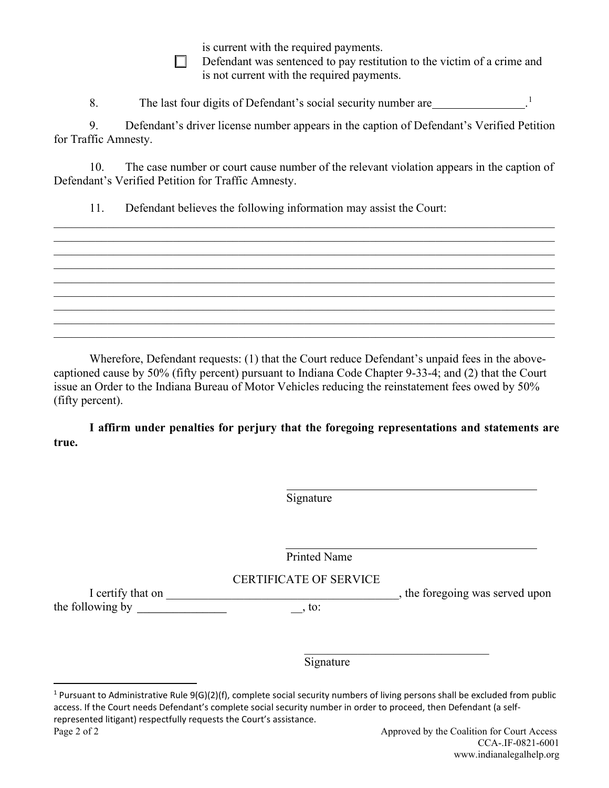is current with the required payments.

 $\Box$  Defendant was sentenced to pay restitution to the victim of a crime and is not current with the required payments.

8. The last four digits of Defendant's social security number are [1](#page-3-0). The last four digits of Defendant's social security number are

9. Defendant's driver license number appears in the caption of Defendant's Verified Petition for Traffic Amnesty.

10. The case number or court cause number of the relevant violation appears in the caption of Defendant's Verified Petition for Traffic Amnesty.

\_\_\_\_\_\_\_\_\_\_\_\_\_\_\_\_\_\_\_\_\_\_\_\_\_\_\_\_\_\_\_\_\_\_\_\_\_\_\_\_\_\_\_\_\_\_\_\_\_\_\_\_\_\_\_\_\_\_\_\_\_\_\_\_\_\_\_\_\_\_\_\_\_\_\_\_\_\_\_\_\_\_\_\_

\_\_\_\_\_\_\_\_\_\_\_\_\_\_\_\_\_\_\_\_\_\_\_\_\_\_\_\_\_\_\_\_\_\_\_\_\_\_\_\_\_\_\_\_\_\_\_\_\_\_\_\_\_\_\_\_\_\_\_\_\_\_\_\_\_\_\_\_\_\_\_\_\_\_\_\_\_\_\_\_\_\_\_\_

\_\_\_\_\_\_\_\_\_\_\_\_\_\_\_\_\_\_\_\_\_\_\_\_\_\_\_\_\_\_\_\_\_\_\_\_\_\_\_\_\_\_\_\_\_\_\_\_\_\_\_\_\_\_\_\_\_\_\_\_\_\_\_\_\_\_\_\_\_\_\_\_\_\_\_\_\_\_\_\_\_\_\_\_ \_\_\_\_\_\_\_\_\_\_\_\_\_\_\_\_\_\_\_\_\_\_\_\_\_\_\_\_\_\_\_\_\_\_\_\_\_\_\_\_\_\_\_\_\_\_\_\_\_\_\_\_\_\_\_\_\_\_\_\_\_\_\_\_\_\_\_\_\_\_\_\_\_\_\_\_\_\_\_\_\_\_\_\_

\_\_\_\_\_\_\_\_\_\_\_\_\_\_\_\_\_\_\_\_\_\_\_\_\_\_\_\_\_\_\_\_\_\_\_\_\_\_\_\_\_\_\_\_\_\_\_\_\_\_\_\_\_\_\_\_\_\_\_\_\_\_\_\_\_\_\_\_\_\_\_\_\_\_\_\_\_\_\_\_\_\_\_\_

11. Defendant believes the following information may assist the Court:

Wherefore, Defendant requests: (1) that the Court reduce Defendant's unpaid fees in the abovecaptioned cause by 50% (fifty percent) pursuant to Indiana Code Chapter 9-33-4; and (2) that the Court issue an Order to the Indiana Bureau of Motor Vehicles reducing the reinstatement fees owed by 50% (fifty percent).

**I affirm under penalties for perjury that the foregoing representations and statements are true.**

Signature

Printed Name

## CERTIFICATE OF SERVICE

I certify that on  $\blacksquare$  is the foregoing was served upon the following by  $\frac{1}{\sqrt{1-\frac{1}{n}}}$  to:

Signature

<span id="page-3-0"></span><sup>&</sup>lt;sup>1</sup> Pursuant to Administrative Rule  $9(G)(2)(f)$ , complete social security numbers of living persons shall be excluded from public access. If the Court needs Defendant's complete social security number in order to proceed, then Defendant (a selfrepresented litigant) respectfully requests the Court's assistance.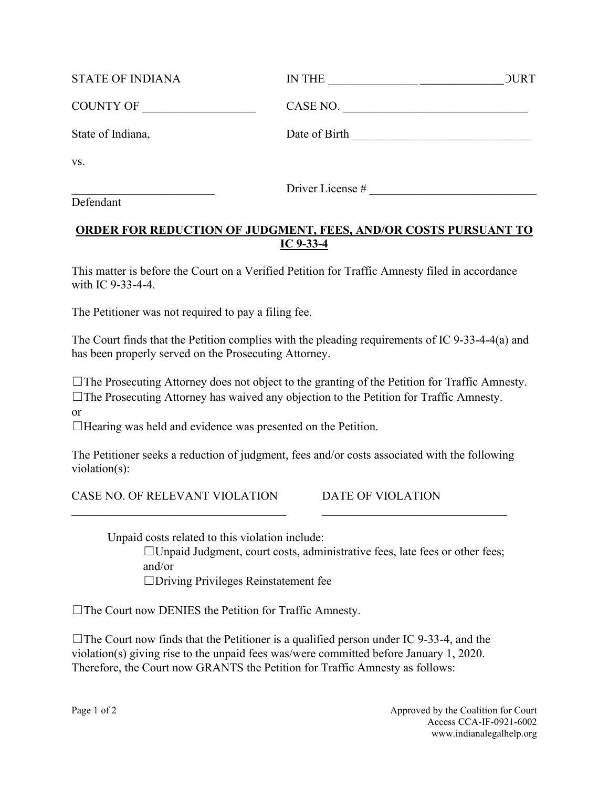| <b>STATE OF INDIANA</b> | IN THE           | <b>JURT</b> |
|-------------------------|------------------|-------------|
| <b>COUNTY OF</b>        | CASE NO.         |             |
| State of Indiana,       | Date of Birth    |             |
| VS.                     |                  |             |
| Defendant               | Driver License # |             |

## **ORDER FOR REDUCTION OF JUDGMENT, FEES, AND/OR COSTS PURSUANT TO IC 9-33-4**

This matter is before the Court on a Verified Petition for Traffic Amnesty filed in accordance with IC 9-33-4-4.

The Petitioner was not required to pay a filing fee.

The Court finds that the Petition complies with the pleading requirements of IC 9-33-4-4(a) and has been properly served on the Prosecuting Attorney.

☐The Prosecuting Attorney does not object to the granting of the Petition for Traffic Amnesty. ☐The Prosecuting Attorney has waived any objection to the Petition for Traffic Amnesty.

or

☐Hearing was held and evidence was presented on the Petition.

The Petitioner seeks a reduction of judgment, fees and/or costs associated with the following violation(s):

 $\mathcal{L}_\mathcal{L} = \mathcal{L}_\mathcal{L} = \mathcal{L}_\mathcal{L} = \mathcal{L}_\mathcal{L} = \mathcal{L}_\mathcal{L} = \mathcal{L}_\mathcal{L} = \mathcal{L}_\mathcal{L} = \mathcal{L}_\mathcal{L} = \mathcal{L}_\mathcal{L} = \mathcal{L}_\mathcal{L} = \mathcal{L}_\mathcal{L} = \mathcal{L}_\mathcal{L} = \mathcal{L}_\mathcal{L} = \mathcal{L}_\mathcal{L} = \mathcal{L}_\mathcal{L} = \mathcal{L}_\mathcal{L} = \mathcal{L}_\mathcal{L}$ 

CASE NO. OF RELEVANT VIOLATION DATE OF VIOLATION

Unpaid costs related to this violation include:

☐Unpaid Judgment, court costs, administrative fees, late fees or other fees; and/or

☐Driving Privileges Reinstatement fee

☐The Court now DENIES the Petition for Traffic Amnesty.

 $\Box$ The Court now finds that the Petitioner is a qualified person under IC 9-33-4, and the violation(s) giving rise to the unpaid fees was/were committed before January 1, 2020. Therefore, the Court now GRANTS the Petition for Traffic Amnesty as follows: